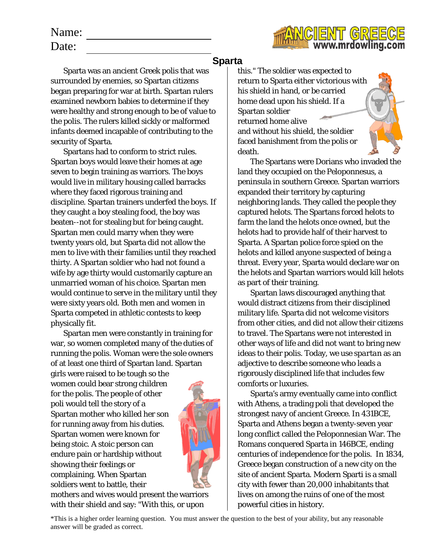w.mrdowling.c

## Name:

Date:

Sparta was an ancient Greek polis that was surrounded by enemies, so Spartan citizens began preparing for war at birth. Spartan rulers examined newborn babies to determine if they were healthy and strong enough to be of value to the polis. The rulers killed sickly or malformed infants deemed incapable of contributing to the security of Sparta.

Spartans had to conform to strict rules. Spartan boys would leave their homes at age seven to begin training as warriors. The boys would live in military housing called barracks where they faced rigorous training and discipline. Spartan trainers underfed the boys. If they caught a boy stealing food, the boy was beaten--not for stealing but for being caught. Spartan men could marry when they were twenty years old, but Sparta did not allow the men to live with their families until they reached thirty. A Spartan soldier who had not found a wife by age thirty would customarily capture an unmarried woman of his choice. Spartan men would continue to serve in the military until they were sixty years old. Both men and women in Sparta competed in athletic contests to keep physically fit.

Spartan men were constantly in training for war, so women completed many of the duties of running the polis. Woman were the sole owners of at least one third of Spartan land. Spartan girls were raised to be tough so the

women could bear strong children for the polis. The people of other poli would tell the story of a Spartan mother who killed her son for running away from his duties. Spartan women were known for being stoic. A stoic person can endure pain or hardship without showing their feelings or complaining. When Spartan soldiers went to battle, their



mothers and wives would present the warriors with their shield and say: "With this, or upon

## **Sparta**

this." The soldier was expected to return to Sparta either victorious with his shield in hand, or be carried home dead upon his shield. If a Spartan soldier returned home alive and without his shield, the soldier faced banishment from the polis or death.

The Spartans were Dorians who invaded the land they occupied on the Peloponnesus, a peninsula in southern Greece. Spartan warriors expanded their territory by capturing neighboring lands. They called the people they captured helots. The Spartans forced helots to farm the land the helots once owned, but the helots had to provide half of their harvest to Sparta. A Spartan police force spied on the helots and killed anyone suspected of being a threat. Every year, Sparta would declare war on the helots and Spartan warriors would kill helots as part of their training.

Spartan laws discouraged anything that would distract citizens from their disciplined military life. Sparta did not welcome visitors from other cities, and did not allow their citizens to travel. The Spartans were not interested in other ways of life and did not want to bring new ideas to their polis. Today, we use *spartan* as an adjective to describe someone who leads a rigorously disciplined life that includes few comforts or luxuries.

Sparta's army eventually came into conflict with Athens, a trading poli that developed the strongest navy of ancient Greece. In 431BCE, Sparta and Athens began a twenty-seven year long conflict called the Peloponnesian War. The Romans conquered Sparta in 146BCE, ending centuries of independence for the polis. In 1834, Greece began construction of a new city on the site of ancient Sparta. Modern Sparti is a small city with fewer than 20,000 inhabitants that lives on among the ruins of one of the most powerful cities in history.

\*This is a higher order learning question. You must answer the question to the best of your ability, but any reasonable answer will be graded as correct.